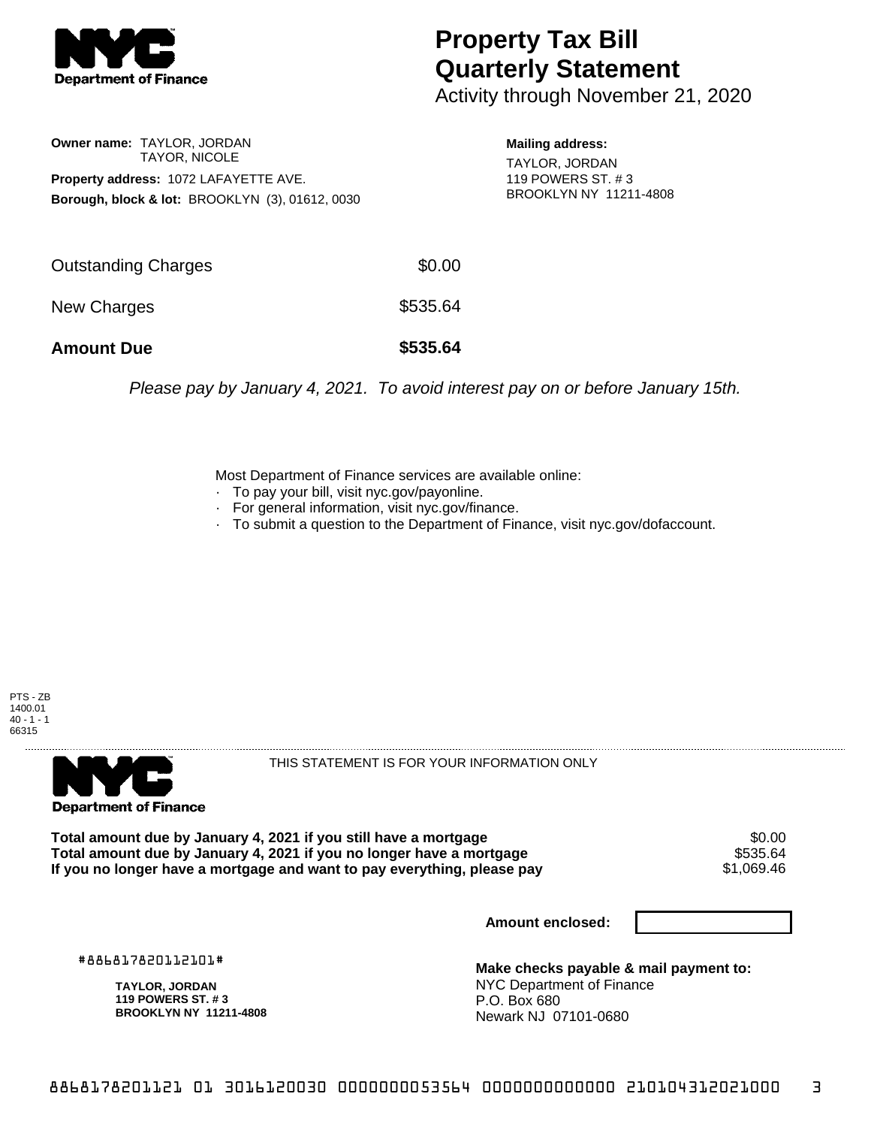

## **Property Tax Bill Quarterly Statement**

Activity through November 21, 2020

**Owner name:** TAYLOR, JORDAN TAYOR, NICOLE **Property address:** 1072 LAFAYETTE AVE. **Borough, block & lot:** BROOKLYN (3), 01612, 0030 **Mailing address:**

TAYLOR, JORDAN 119 POWERS ST. # 3 BROOKLYN NY 11211-4808

| <b>Amount Due</b>   | \$535.64 |
|---------------------|----------|
| New Charges         | \$535.64 |
| Outstanding Charges | \$0.00   |

Please pay by January 4, 2021. To avoid interest pay on or before January 15th.

Most Department of Finance services are available online:

- · To pay your bill, visit nyc.gov/payonline.
- For general information, visit nyc.gov/finance.
- · To submit a question to the Department of Finance, visit nyc.gov/dofaccount.





THIS STATEMENT IS FOR YOUR INFORMATION ONLY

Total amount due by January 4, 2021 if you still have a mortgage  $$0.00$ <br>Total amount due by January 4, 2021 if you no longer have a mortgage  $$535.64$ **Total amount due by January 4, 2021 if you no longer have a mortgage \$535.64<br>If you no longer have a mortgage and want to pay everything, please pay \$1,069.46** If you no longer have a mortgage and want to pay everything, please pay

**Amount enclosed:**

#886817820112101#

**TAYLOR, JORDAN 119 POWERS ST. # 3 BROOKLYN NY 11211-4808**

**Make checks payable & mail payment to:** NYC Department of Finance P.O. Box 680 Newark NJ 07101-0680